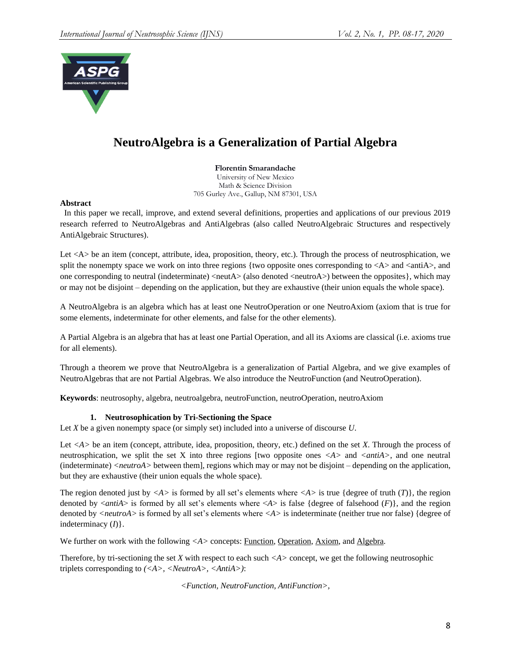

# **NeutroAlgebra is a Generalization of Partial Algebra**

**Florentin Smarandache**  University of New Mexico

Math & Science Division 705 Gurley Ave., Gallup, NM 87301, USA

## **Abstract**

 In this paper we recall, improve, and extend several definitions, properties and applications of our previous 2019 research referred to NeutroAlgebras and AntiAlgebras (also called NeutroAlgebraic Structures and respectively AntiAlgebraic Structures).

Let <A> be an item (concept, attribute, idea, proposition, theory, etc.). Through the process of neutrosphication, we split the nonempty space we work on into three regions {two opposite ones corresponding to  $\langle A \rangle$  and  $\langle \text{anti}A \rangle$ , and one corresponding to neutral (indeterminate)  $\langle$  neutA $\rangle$  (also denoted  $\langle$  neutroA $\rangle$ ) between the opposites}, which may or may not be disjoint – depending on the application, but they are exhaustive (their union equals the whole space).

A NeutroAlgebra is an algebra which has at least one NeutroOperation or one NeutroAxiom (axiom that is true for some elements, indeterminate for other elements, and false for the other elements).

A Partial Algebra is an algebra that has at least one Partial Operation, and all its Axioms are classical (i.e. axioms true for all elements).

Through a theorem we prove that NeutroAlgebra is a generalization of Partial Algebra, and we give examples of NeutroAlgebras that are not Partial Algebras. We also introduce the NeutroFunction (and NeutroOperation).

**Keywords**: neutrosophy, algebra, neutroalgebra, neutroFunction, neutroOperation, neutroAxiom

## **1. Neutrosophication by Tri-Sectioning the Space**

Let *X* be a given nonempty space (or simply set) included into a universe of discourse *U*.

Let <A> be an item (concept, attribute, idea, proposition, theory, etc.) defined on the set *X*. Through the process of neutrosphication, we split the set X into three regions [two opposite ones *<A>* and *<antiA>*, and one neutral (indeterminate) *<neutroA>* between them], regions which may or may not be disjoint – depending on the application, but they are exhaustive (their union equals the whole space).

The region denoted just by  $\langle A \rangle$  is formed by all set's elements where  $\langle A \rangle$  is true {degree of truth  $(T)$ }, the region denoted by  $\langle \text{an}t\text{ i}A \rangle$  is formed by all set's elements where  $\langle A \rangle$  is false {degree of falsehood  $(F)$ }, and the region denoted by *<neutroA>* is formed by all set's elements where *<A>* is indeterminate (neither true nor false) {degree of indeterminacy (*I*)}.

We further on work with the following  $\langle A \rangle$  concepts: <u>Function</u>, Operation, Axiom, and Algebra.

Therefore, by tri-sectioning the set *X* with respect to each such *<A>* concept, we get the following neutrosophic triplets corresponding to *(<A>, <NeutroA>, <AntiA>)*:

*<Function, NeutroFunction, AntiFunction>,*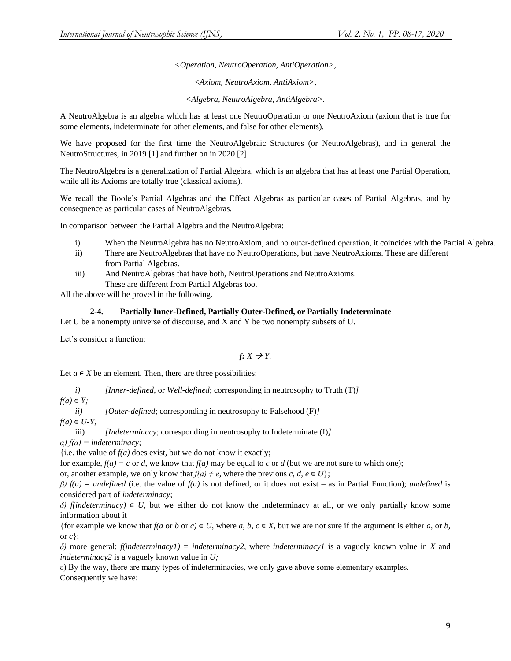*<Operation, NeutroOperation, AntiOperation>,* 

*<Axiom, NeutroAxiom, AntiAxiom>,* 

*<Algebra, NeutroAlgebra, AntiAlgebra>.* 

A NeutroAlgebra is an algebra which has at least one NeutroOperation or one NeutroAxiom (axiom that is true for some elements, indeterminate for other elements, and false for other elements).

We have proposed for the first time the NeutroAlgebraic Structures (or NeutroAlgebras), and in general the NeutroStructures, in 2019 [1] and further on in 2020 [2].

The NeutroAlgebra is a generalization of Partial Algebra, which is an algebra that has at least one Partial Operation, while all its Axioms are totally true (classical axioms).

We recall the Boole's Partial Algebras and the Effect Algebras as particular cases of Partial Algebras, and by consequence as particular cases of NeutroAlgebras.

In comparison between the Partial Algebra and the NeutroAlgebra:

- i) When the NeutroAlgebra has no NeutroAxiom, and no outer-defined operation, it coincides with the Partial Algebra.
- ii) There are NeutroAlgebras that have no NeutroOperations, but have NeutroAxioms. These are different from Partial Algebras.
- iii) And NeutroAlgebras that have both, NeutroOperations and NeutroAxioms. These are different from Partial Algebras too.

All the above will be proved in the following.

#### **2-4. Partially Inner-Defined, Partially Outer-Defined, or Partially Indeterminate**

Let U be a nonempty universe of discourse, and X and Y be two nonempty subsets of U.

Let's consider a function:

$$
f: X \to Y
$$
.

Let  $a \in X$  be an element. Then, there are three possibilities:

*i) [Inner-defined,* or *Well-defined*; corresponding in neutrosophy to Truth (T)*]*  $f(a) \in Y$ ;

*ii) [Outer-defined*; corresponding in neutrosophy to Falsehood (F)*]*

 $f(a) \in U-Y;$ 

iii) *[Indeterminacy*; corresponding in neutrosophy to Indeterminate (I)*] α) f(a) = indeterminacy;*

{i.e. the value of  $f(a)$  does exist, but we do not know it exactly;

for example,  $f(a) = c$  or *d*, we know that  $f(a)$  may be equal to *c* or *d* (but we are not sure to which one);

or, another example, we only know that  $f(a) \neq e$ , where the previous *c*, *d*,  $e \in U$ ;

*β) f(a) = undefined* (i.e. the value of *f(a)* is not defined, or it does not exist – as in Partial Function); *undefined* is considered part of *indeterminacy*;

 $\delta$ )  $f(indeterminacy) \in U$ , but we either do not know the indeterminacy at all, or we only partially know some information about it

{for example we know that  $f(a \text{ or } b \text{ or } c) \in U$ , where  $a, b, c \in X$ , but we are not sure if the argument is either  $a$ , or  $b$ , or *c*};

*δ)* more general: *f(indeterminacy1) = indeterminacy2*, where *indeterminacy1* is a vaguely known value in *X* and *indeterminacy2* is a vaguely known value in *U;*

ε) By the way, there are many types of indeterminacies, we only gave above some elementary examples. Consequently we have: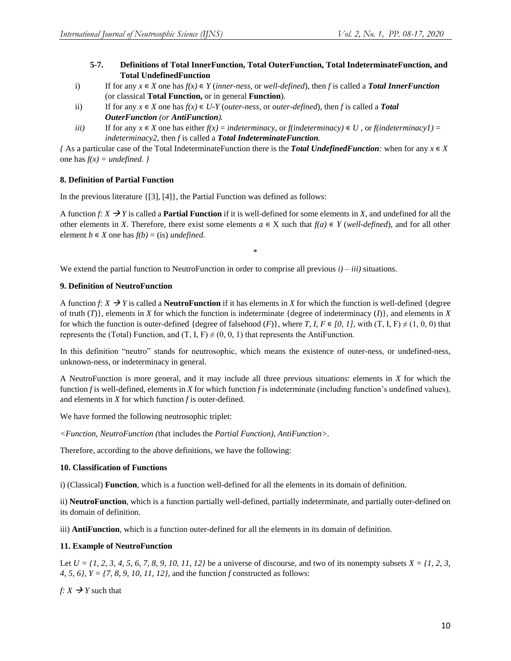- **5-7. Definitions of Total InnerFunction, Total OuterFunction, Total IndeterminateFunction, and Total UndefinedFunction**
- i) If for any  $x \in X$  one has  $f(x) \in Y$  (*inner-ness,* or *well-defined*), then *f* is called a *Total InnerFunction* (or classical **Total Function,** or in general **Function**).
- ii) If for any  $x \in X$  one has  $f(x) \in U-Y$  (*outer-ness, or outer-defined*), then *f* is called a **Total** *OuterFunction (or AntiFunction).*
- *iii*) If for any  $x \in X$  one has either  $f(x) =$  *indeterminacy*, or  $f($ *indeterminacy* $) \in U$ , or  $f($ *indeterminacy* $I$  $) =$ *indeterminacy2,* then *f* is called a *Total IndeterminateFunction.*

*{* As a particular case of the Total IndeterminateFunction there is the **Total UndefinedFunction**; when for any  $x \in X$ one has  $f(x) =$  *undefined.* }

# **8. Definition of Partial Function**

In the previous literature {[3], [4]}, the Partial Function was defined as follows:

A function *f*:  $X \rightarrow Y$  is called a **Partial Function** if it is well-defined for some elements in *X*, and undefined for all the other elements in *X*. Therefore, there exist some elements  $a \in X$  such that  $f(a) \in Y$  (*well-defined*), and for all other element  $b \in X$  one has  $f(b) = (is)$  *undefined*.

\*

We extend the partial function to NeutroFunction in order to comprise all previous *i) – iii)* situations.

## **9. Definition of NeutroFunction**

A function *f*:  $X \rightarrow Y$  is called a **NeutroFunction** if it has elements in *X* for which the function is well-defined {degree of truth  $(T)$ }, elements in *X* for which the function is indeterminate {degree of indeterminacy  $(I)$ }, and elements in *X* for which the function is outer-defined {degree of falsehood  $(F)$ }, where *T*, *I*,  $F \in [0, 1]$ , with  $(T, I, F) \neq (1, 0, 0)$  that represents the (Total) Function, and (T, I, F)  $\neq$  (0, 0, 1) that represents the AntiFunction.

In this definition "neutro" stands for neutrosophic, which means the existence of outer-ness, or undefined-ness, unknown-ness, or indeterminacy in general.

A NeutroFunction is more general, and it may include all three previous situations: elements in *X* for which the function *f* is well-defined, elements in *X* for which function *f* is indeterminate (including function's undefined values), and elements in *X* for which function *f* is outer-defined.

We have formed the following neutrosophic triplet:

*<Function, NeutroFunction (*that includes the *Partial Function), AntiFunction>.* 

Therefore, according to the above definitions, we have the following:

# **10. Classification of Functions**

i) (Classical) **Function**, which is a function well-defined for all the elements in its domain of definition.

ii) **NeutroFunction**, which is a function partially well-defined, partially indeterminate, and partially outer-defined on its domain of definition.

iii) **AntiFunction**, which is a function outer-defined for all the elements in its domain of definition.

# **11. Example of NeutroFunction**

Let  $U = \{1, 2, 3, 4, 5, 6, 7, 8, 9, 10, 11, 12\}$  be a universe of discourse, and two of its nonempty subsets  $X = \{1, 2, 3, 7, 8, 9, 10, 11, 12\}$ *4, 5, 6}, Y = {7, 8, 9, 10, 11, 12}*, and the function *f* constructed as follows:

 $f: X \rightarrow Y$  such that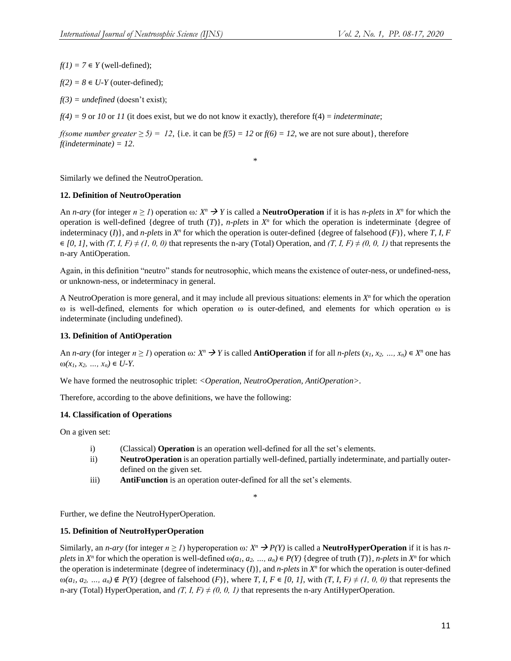$f(1) = 7 \in Y$  (well-defined);

 $f(2) = 8 \in U-Y$  (outer-defined);

*f(3) = undefined* (doesn't exist);

 $f(4) = 9$  or 10 or 11 (it does exist, but we do not know it exactly), therefore  $f(4) = indeterminate$ ;

*f(some number greater*  $\ge 5$ ) = 12, {i.e. it can be  $f(5) = 12$  or  $f(6) = 12$ , we are not sure about}, therefore *f(indeterminate) = 12*.

Similarly we defined the NeutroOperation.

## **12. Definition of NeutroOperation**

An *n*-ary (for integer  $n \ge 1$ ) operation  $\omega$ :  $X^n \to Y$  is called a **NeutroOperation** if it is has *n-plets* in  $X^n$  for which the operation is well-defined {degree of truth  $(T)$ }, *n-plets* in  $X^n$  for which the operation is indeterminate {degree of indeterminacy  $(I)$ , and *n-plets* in  $X^n$  for which the operation is outer-defined {degree of falsehood  $(F)$ }, where *T*, *I*, *F*  $\in [0, 1]$ , with  $(T, I, F) \neq (1, 0, 0)$  that represents the n-ary (Total) Operation, and  $(T, I, F) \neq (0, 0, 1)$  that represents the n-ary AntiOperation.

\*

Again, in this definition "neutro" stands for neutrosophic, which means the existence of outer-ness, or undefined-ness, or unknown-ness, or indeterminacy in general.

A NeutroOperation is more general, and it may include all previous situations: elements in *X n* for which the operation ω is well-defined, elements for which operation ω is outer-defined, and elements for which operation ω is indeterminate (including undefined).

## **13. Definition of AntiOperation**

An *n*-ary (for integer  $n \ge 1$ ) operation  $\omega$ :  $X^n \to Y$  is called **AntiOperation** if for all *n*-plets  $(x_1, x_2, ..., x_n) \in X^n$  one has  $\omega(x_1, x_2, ..., x_n) \in U-Y$ .

We have formed the neutrosophic triplet: *<Operation, NeutroOperation, AntiOperation>.*

Therefore, according to the above definitions, we have the following:

## **14. Classification of Operations**

On a given set:

- i) (Classical) **Operation** is an operation well-defined for all the set's elements.
- ii) **NeutroOperation** is an operation partially well-defined, partially indeterminate, and partially outerdefined on the given set.
- iii) **AntiFunction** is an operation outer-defined for all the set's elements.

\*

Further, we define the NeutroHyperOperation.

## **15. Definition of NeutroHyperOperation**

Similarly, an *n-ary* (for integer  $n \geq 1$ ) hyperoperation  $\omega$ :  $X^n \to P(Y)$  is called a **NeutroHyperOperation** if it is has *n*plets in  $X^n$  for which the operation is well-defined  $\omega(a_1, a_2, ..., a_n) \in P(Y)$  {degree of truth  $(T)$ }, *n-plets* in  $X^n$  for which the operation is indeterminate {degree of indeterminacy  $(I)$ }, and *n-plets* in  $X<sup>n</sup>$  for which the operation is outer-defined  $\omega(a_1, a_2, \ldots, a_n) \notin P(Y)$  {degree of falsehood  $(F)$ }, where *T*, *I*,  $F \in [0, 1]$ , with  $(T, I, F) \neq (1, 0, 0)$  that represents the n-ary (Total) HyperOperation, and  $(T, I, F) \neq (0, 0, I)$  that represents the n-ary AntiHyperOperation.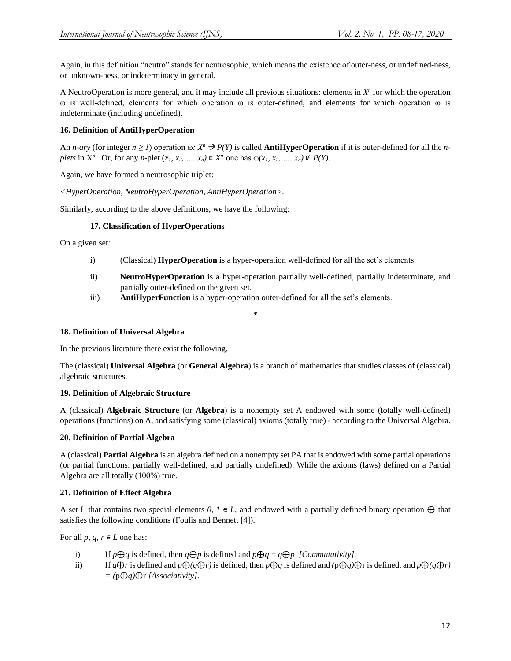Again, in this definition "neutro" stands for neutrosophic, which means the existence of outer-ness, or undefined-ness, or unknown-ness, or indeterminacy in general.

A NeutroOperation is more general, and it may include all previous situations: elements in *X n* for which the operation ω is well-defined, elements for which operation ω is outer-defined, and elements for which operation ω is indeterminate (including undefined).

# **16. Definition of AntiHyperOperation**

An *n*-ary (for integer  $n \ge 1$ ) operation ω:  $X^n \to P(Y)$  is called **AntiHyperOperation** if it is outer-defined for all the *n*plets in  $X^n$ . Or, for any *n*-plet  $(x_1, x_2, ..., x_n) \in X^n$  one has  $\omega(x_1, x_2, ..., x_n) \notin P(Y)$ .

Again, we have formed a neutrosophic triplet:

*<HyperOperation, NeutroHyperOperation, AntiHyperOperation>.*

Similarly, according to the above definitions, we have the following:

## **17. Classification of HyperOperations**

On a given set:

- i) (Classical) **HyperOperation** is a hyper-operation well-defined for all the set's elements.
- ii) **NeutroHyperOperation** is a hyper-operation partially well-defined, partially indeterminate, and partially outer-defined on the given set.
- iii) **AntiHyperFunction** is a hyper-operation outer-defined for all the set's elements.

# \*

## **18. Definition of Universal Algebra**

In the previous literature there exist the following.

The (classical) **Universal Algebra** (or **General Algebra**) is a branch of mathematics that studies classes of (classical) algebraic structures.

## **19. Definition of Algebraic Structure**

A (classical) **Algebraic Structure** (or **Algebra**) is a nonempty set A endowed with some (totally well-defined) operations (functions) on A, and satisfying some (classical) axioms (totally true) - according to the Universal Algebra.

## **20. Definition of Partial Algebra**

A (classical) **Partial Algebra** is an algebra defined on a nonempty set PA that is endowed with some partial operations (or partial functions: partially well-defined, and partially undefined). While the axioms (laws) defined on a Partial Algebra are all totally (100%) true.

## **21. Definition of Effect Algebra**

A set L that contains two special elements  $0, I \in L$ , and endowed with a partially defined binary operation  $\oplus$  that satisfies the following conditions (Foulis and Bennett [4]).

For all *p*,  $q, r \in L$  one has:

- i) If *p*⊕*q* is defined, then  $q \oplus p$  is defined and  $p \oplus q = q \oplus p$  *[Commutativity]*.
- ii) If  $q \oplus r$  is defined and  $p \oplus (q \oplus r)$  is defined, then  $p \oplus q$  is defined and  $(p \oplus q) \oplus r$  is defined, and  $p \oplus (q \oplus r)$ *= (*p⊕*q)*⊕r *[Associativity].*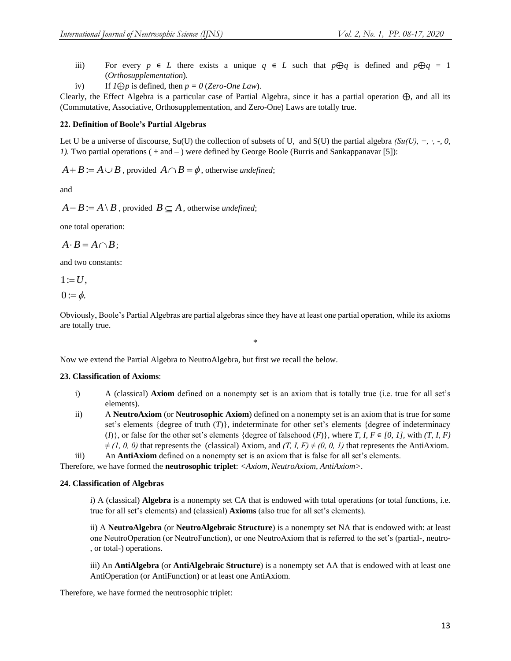- iii) For every  $p \in L$  there exists a unique  $q \in L$  such that  $p \oplus q$  is defined and  $p \oplus q = 1$ (*Orthosupplementation*).
- iv) If  $I \bigoplus p$  is defined, then  $p = 0$  (*Zero-One Law*).

Clearly, the Effect Algebra is a particular case of Partial Algebra, since it has a partial operation ⊕, and all its (Commutative, Associative, Orthosupplementation, and Zero-One) Laws are totally true.

#### **22. Definition of Boole's Partial Algebras**

Let U be a universe of discourse, Su(U) the collection of subsets of U, and S(U) the partial algebra *(Su(U), +, ·, -, 0, 1).* Two partial operations ( + and – ) were defined by George Boole (Burris and Sankappanavar [5]):

 $A + B := A \cup B$ , provided  $A \cap B = \phi$ , otherwise *undefined*;

and

 $A - B := A \setminus B$ , provided  $B \subseteq A$ , otherwise *undefined*;

one total operation:

$$
A\cdot B=A\cap B\,;
$$

and two constants:

$$
1 := U,
$$
  

$$
0 := \phi.
$$

Obviously, Boole's Partial Algebras are partial algebras since they have at least one partial operation, while its axioms are totally true.

\*

Now we extend the Partial Algebra to NeutroAlgebra, but first we recall the below.

#### **23. Classification of Axioms**:

- i) A (classical) **Axiom** defined on a nonempty set is an axiom that is totally true (i.e. true for all set's elements).
- ii) A **NeutroAxiom** (or **Neutrosophic Axiom**) defined on a nonempty set is an axiom that is true for some set's elements {degree of truth (*T*)}, indeterminate for other set's elements {degree of indeterminacy  $(I)$ }, or false for the other set's elements {degree of falsehood  $(F)$ }, where *T*, *I*,  $F \in [0, 1]$ , with  $(T, I, F)$  $\neq$  (1, 0, 0) that represents the (classical) Axiom, and  $(T, I, F) \neq (0, 0, 1)$  that represents the AntiAxiom.

iii) An **AntiAxiom** defined on a nonempty set is an axiom that is false for all set's elements.

Therefore, we have formed the **neutrosophic triplet**: *<Axiom, NeutroAxiom, AntiAxiom>.*

#### **24. Classification of Algebras**

i) A (classical) **Algebra** is a nonempty set CA that is endowed with total operations (or total functions, i.e. true for all set's elements) and (classical) **Axioms** (also true for all set's elements).

ii) A **NeutroAlgebra** (or **NeutroAlgebraic Structure**) is a nonempty set NA that is endowed with: at least one NeutroOperation (or NeutroFunction), or one NeutroAxiom that is referred to the set's (partial-, neutro- , or total-) operations.

iii) An **AntiAlgebra** (or **AntiAlgebraic Structure**) is a nonempty set AA that is endowed with at least one AntiOperation (or AntiFunction) or at least one AntiAxiom.

Therefore, we have formed the neutrosophic triplet: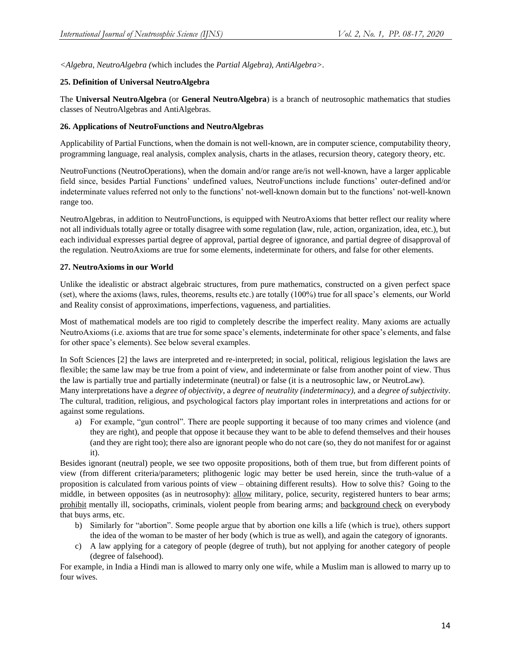*<Algebra, NeutroAlgebra (*which includes the *Partial Algebra), AntiAlgebra>.*

#### **25. Definition of Universal NeutroAlgebra**

The **Universal NeutroAlgebra** (or **General NeutroAlgebra**) is a branch of neutrosophic mathematics that studies classes of NeutroAlgebras and AntiAlgebras.

#### **26. Applications of NeutroFunctions and NeutroAlgebras**

Applicability of Partial Functions, when the domain is not well-known, are in computer science, computability theory, programming language, real analysis, complex analysis, charts in the atlases, recursion theory, category theory, etc.

NeutroFunctions (NeutroOperations), when the domain and/or range are/is not well-known, have a larger applicable field since, besides Partial Functions' undefined values, NeutroFunctions include functions' outer-defined and/or indeterminate values referred not only to the functions' not-well-known domain but to the functions' not-well-known range too.

NeutroAlgebras, in addition to NeutroFunctions, is equipped with NeutroAxioms that better reflect our reality where not all individuals totally agree or totally disagree with some regulation (law, rule, action, organization, idea, etc.), but each individual expresses partial degree of approval, partial degree of ignorance, and partial degree of disapproval of the regulation. NeutroAxioms are true for some elements, indeterminate for others, and false for other elements.

#### **27. NeutroAxioms in our World**

Unlike the idealistic or abstract algebraic structures, from pure mathematics, constructed on a given perfect space (set), where the axioms (laws, rules, theorems, results etc.) are totally (100%) true for all space's elements, our World and Reality consist of approximations, imperfections, vagueness, and partialities.

Most of mathematical models are too rigid to completely describe the imperfect reality. Many axioms are actually NeutroAxioms (i.e. axioms that are true for some space's elements, indeterminate for other space's elements, and false for other space's elements). See below several examples.

In Soft Sciences [2] the laws are interpreted and re-interpreted; in social, political, religious legislation the laws are flexible; the same law may be true from a point of view, and indeterminate or false from another point of view. Thus the law is partially true and partially indeterminate (neutral) or false (it is a neutrosophic law, or NeutroLaw).

Many interpretations have a *degree of objectivity,* a *degree of neutrality (indeterminacy),* and a *degree of subjectivity*. The cultural, tradition, religious, and psychological factors play important roles in interpretations and actions for or against some regulations.

a) For example, "gun control". There are people supporting it because of too many crimes and violence (and they are right), and people that oppose it because they want to be able to defend themselves and their houses (and they are right too); there also are ignorant people who do not care (so, they do not manifest for or against it).

Besides ignorant (neutral) people, we see two opposite propositions, both of them true, but from different points of view (from different criteria/parameters; plithogenic logic may better be used herein, since the truth-value of a proposition is calculated from various points of view – obtaining different results). How to solve this? Going to the middle, in between opposites (as in neutrosophy): allow military, police, security, registered hunters to bear arms; prohibit mentally ill, sociopaths, criminals, violent people from bearing arms; and background check on everybody that buys arms, etc.

- b) Similarly for "abortion". Some people argue that by abortion one kills a life (which is true), others support the idea of the woman to be master of her body (which is true as well), and again the category of ignorants.
- c) A law applying for a category of people (degree of truth), but not applying for another category of people (degree of falsehood).

For example, in India a Hindi man is allowed to marry only one wife, while a Muslim man is allowed to marry up to four wives.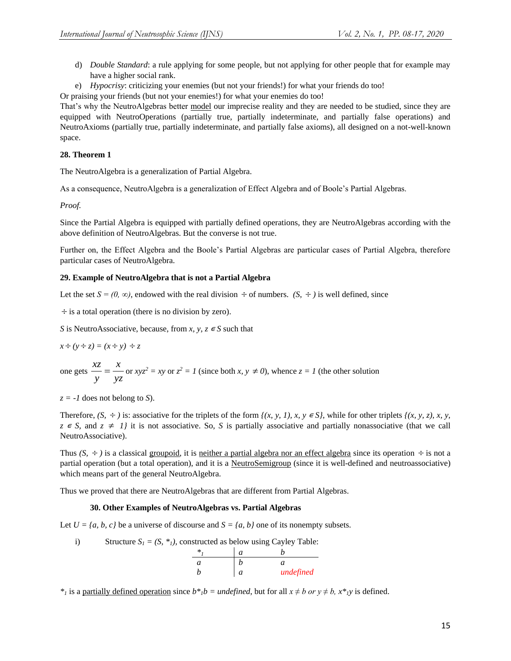- d) *Double Standard*: a rule applying for some people, but not applying for other people that for example may have a higher social rank.
- e) *Hypocrisy*: criticizing your enemies (but not your friends!) for what your friends do too!

Or praising your friends (but not your enemies!) for what your enemies do too!

That's why the NeutroAlgebras better model our imprecise reality and they are needed to be studied, since they are equipped with NeutroOperations (partially true, partially indeterminate, and partially false operations) and NeutroAxioms (partially true, partially indeterminate, and partially false axioms), all designed on a not-well-known space.

## **28. Theorem 1**

The NeutroAlgebra is a generalization of Partial Algebra.

As a consequence, NeutroAlgebra is a generalization of Effect Algebra and of Boole's Partial Algebras.

*Proof.*

Since the Partial Algebra is equipped with partially defined operations, they are NeutroAlgebras according with the above definition of NeutroAlgebras. But the converse is not true.

Further on, the Effect Algebra and the Boole's Partial Algebras are particular cases of Partial Algebra, therefore particular cases of NeutroAlgebra.

## **29. Example of NeutroAlgebra that is not a Partial Algebra**

Let the set  $S = (0, \infty)$ , endowed with the real division  $\div$  of numbers.  $(S, \div)$  is well defined, since

 $\div$  is a total operation (there is no division by zero).

*S* is NeutroAssociative, because, from *x*, *y*,  $z \in S$  such that

$$
x \div (y \div z) = (x \div y) \div z
$$

one gets  $\frac{xz}{x} = \frac{x}{x}$ *y yz*  $=\frac{x}{x}$  or  $xyz^2 = xy$  or  $z^2 = 1$  (since both *x*,  $y \neq 0$ ), whence  $z = 1$  (the other solution

 $z = -1$  does not belong to *S*).

Therefore,  $(S, \div)$  is: associative for the triplets of the form  $\{(x, y, 1), x, y \in S\}$ , while for other triplets  $\{(x, y, z), x, y, z\}$  $z \in S$ , and  $z \neq 1$ *j* it is not associative. So, *S* is partially associative and partially nonassociative (that we call NeutroAssociative).

Thus  $(S, \div)$  is a classical groupoid, it is neither a partial algebra nor an effect algebra since its operation  $\div$  is not a partial operation (but a total operation), and it is a NeutroSemigroup (since it is well-defined and neutroassociative) which means part of the general NeutroAlgebra.

Thus we proved that there are NeutroAlgebras that are different from Partial Algebras.

## **30. Other Examples of NeutroAlgebras vs. Partial Algebras**

Let  $U = \{a, b, c\}$  be a universe of discourse and  $S = \{a, b\}$  one of its nonempty subsets.

i) Structure  $S_I = (S, *_I)$ , constructed as below using Cayley Table:

|  | undefined |
|--|-----------|

*\**<sub>*i*</sub> is a <u>partially defined operation</u> since  $b^*b = \text{undefined}$ , but for all  $x \neq b$  or  $y \neq b$ ,  $x^*y$  is defined.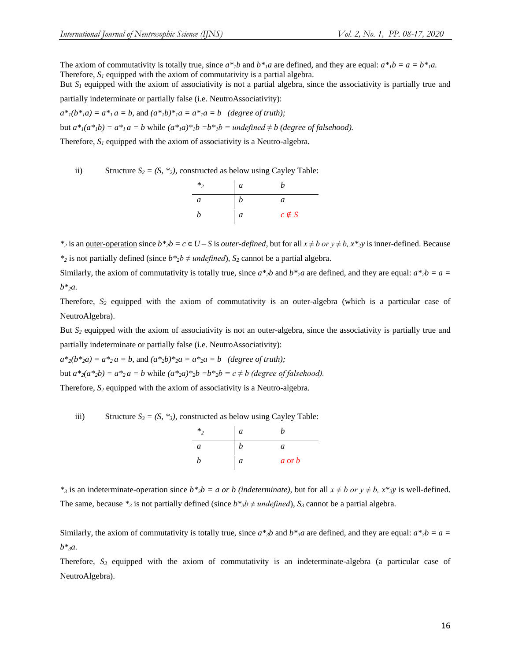The axiom of commutativity is totally true, since  $a^*b$  and  $b^*a$  are defined, and they are equal:  $a^*b = a = b^*a$ . Therefore,  $S<sub>l</sub>$  equipped with the axiom of commutativity is a partial algebra.

But  $S_l$  equipped with the axiom of associativity is not a partial algebra, since the associativity is partially true and

partially indeterminate or partially false (i.e. NeutroAssociativity):

 $a^*$ <sub>*i*</sub>( $b^*$ <sub>*i*</sub> $a$ ) =  $a^*$ <sub>*i*</sub> $a$  =  $b$ , and  $(a^*$ <sub>*i*</sub> $b)$ <sup>\*</sup><sub>*i*</sub> $a$  =  $a^*$ <sub>*i*</sub> $a$  =  $b$  (degree of truth);

but  $a^*(a^*b) = a^*a = b$  while  $(a^*a)^*b = b^*b =$  undefined  $\neq b$  (degree of falsehood).

Therefore, *S<sup>1</sup>* equipped with the axiom of associativity is a Neutro-algebra.

ii) Structure  $S_2 = (S, *_2)$ , constructed as below using Cayley Table:

| $*$ , | a | n            |
|-------|---|--------------|
| a     | b | a            |
| b     | a | $c \notin S$ |

*\**<sub>2</sub> is an <u>outer-operation</u> since  $b *_{2}b = c \in U - S$  is *outer-defined*, but for all  $x \neq b$  *or*  $y \neq b$ ,  $x *_{2}y$  is inner-defined. Because *\**<sub>2</sub> is not partially defined (since  $b *_{2}b \neq$  *undefined*), *S*<sub>2</sub> cannot be a partial algebra.

Similarly, the axiom of commutativity is totally true, since  $a *_{2}b$  and  $b *_{2}a$  are defined, and they are equal:  $a *_{2}b = a =$ *b\*2a.*

Therefore, *S<sup>2</sup>* equipped with the axiom of commutativity is an outer-algebra (which is a particular case of NeutroAlgebra).

But  $S_2$  equipped with the axiom of associativity is not an outer-algebra, since the associativity is partially true and partially indeterminate or partially false (i.e. NeutroAssociativity):

 $a^*_{2}(b^*_{2}a) = a^*_{2}a = b$ , and  $(a^*_{2}b)^*_{2}a = a^*_{2}a = b$  *(degree of truth);* but  $a^*_{2}(a^*_{2}b) = a^*_{2}a = b$  while  $(a^*_{2}a)^*_{2}b = b^*_{2}b = c \neq b$  *(degree of falsehood).* 

Therefore,  $S_2$  equipped with the axiom of associativity is a Neutro-algebra.

iii) Structure  $S_3 = (S_1 *_{3})$ , constructed as below using Cayley Table:

| $*$ | a | ,,         |
|-----|---|------------|
| a   | n | a          |
| h   | a | $a$ or $b$ |

*\**<sup>3</sup>/<sub>3</sub> is an indeterminate-operation since  $b^*$ <sub>*jb*</sub> = *a or b (indeterminate)*, but for all  $x \neq b$  *or y*  $\neq b$ *, x\**<sub>*3y*</sub> is well-defined. The same, because  $*_3$  is not partially defined (since  $b*_3b \neq \text{undefined}$ ),  $S_3$  cannot be a partial algebra.

Similarly, the axiom of commutativity is totally true, since  $a^*{}_{3}b$  and  $b^*{}_{3}a$  are defined, and they are equal:  $a^*{}_{3}b = a =$ *b\*3a.*

Therefore,  $S_3$  equipped with the axiom of commutativity is an indeterminate-algebra (a particular case of NeutroAlgebra).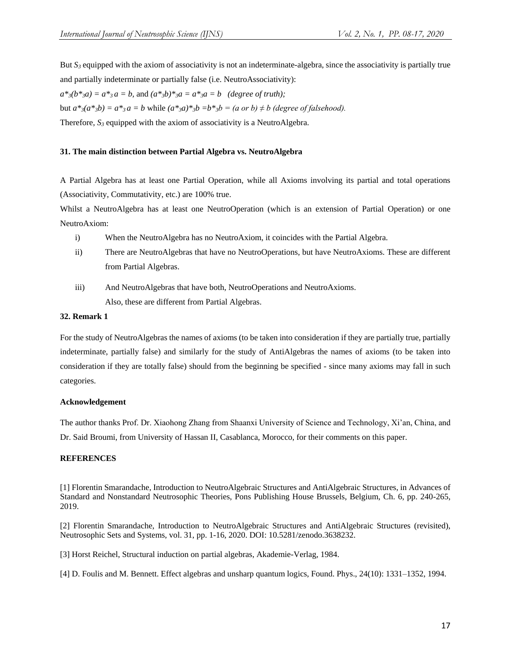But  $S_3$  equipped with the axiom of associativity is not an indeterminate-algebra, since the associativity is partially true and partially indeterminate or partially false (i.e. NeutroAssociativity):

 $a^*$ <sub>3</sub> $(b^*$ <sub>3</sub> $a) = a^*$ <sub>3</sub> $a = b$ , and  $(a^*$ <sub>3</sub> $b)$ <sup>\*</sup><sub>3</sub> $a = a^*$ <sub>3</sub> $a = b$  *(degree of truth)*;

but  $a^*$ <sub>3</sub> $(a^*$ <sub>3</sub> $b) = a^*$ <sub>3</sub> $a = b$  while  $(a^*$ <sub>3</sub> $a)$ <sup>\*</sup><sub>3</sub> $b = b^*$ <sub>3</sub> $b = (a \text{ or } b) \neq b$  (degree of falsehood).

Therefore,  $S_3$  equipped with the axiom of associativity is a NeutroAlgebra.

#### **31. The main distinction between Partial Algebra vs. NeutroAlgebra**

A Partial Algebra has at least one Partial Operation, while all Axioms involving its partial and total operations (Associativity, Commutativity, etc.) are 100% true.

Whilst a NeutroAlgebra has at least one NeutroOperation (which is an extension of Partial Operation) or one NeutroAxiom:

- i) When the NeutroAlgebra has no NeutroAxiom, it coincides with the Partial Algebra.
- ii) There are NeutroAlgebras that have no NeutroOperations, but have NeutroAxioms. These are different from Partial Algebras.
- iii) And NeutroAlgebras that have both, NeutroOperations and NeutroAxioms. Also, these are different from Partial Algebras.

## **32. Remark 1**

For the study of NeutroAlgebras the names of axioms (to be taken into consideration if they are partially true, partially indeterminate, partially false) and similarly for the study of AntiAlgebras the names of axioms (to be taken into consideration if they are totally false) should from the beginning be specified - since many axioms may fall in such categories.

## **Acknowledgement**

The author thanks Prof. Dr. Xiaohong Zhang from Shaanxi University of Science and Technology, Xi'an, China, and Dr. Said Broumi, from University of Hassan II, Casablanca, Morocco, for their comments on this paper.

## **REFERENCES**

[1] Florentin Smarandache, Introduction to NeutroAlgebraic Structures and AntiAlgebraic Structures, in Advances of Standard and Nonstandard Neutrosophic Theories, Pons Publishing House Brussels, Belgium, Ch. 6, pp. 240-265, 2019.

[2] Florentin Smarandache, Introduction to NeutroAlgebraic Structures and AntiAlgebraic Structures (revisited), Neutrosophic Sets and Systems, vol. 31, pp. 1-16, 2020. DOI: 10.5281/zenodo.3638232.

[3] Horst Reichel, Structural induction on partial algebras, Akademie-Verlag, 1984.

[4] D. Foulis and M. Bennett. Effect algebras and unsharp quantum logics, Found. Phys., 24(10): 1331–1352, 1994.